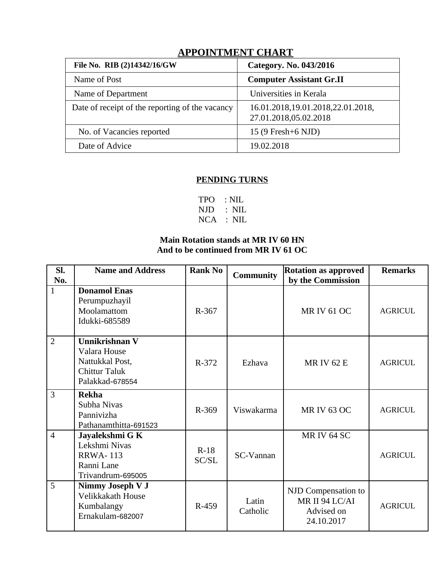| THE CHILING CHEATH                              |                                                            |
|-------------------------------------------------|------------------------------------------------------------|
| File No. RIB (2)14342/16/GW                     | Category. No. 043/2016                                     |
| Name of Post                                    | <b>Computer Assistant Gr.II</b>                            |
| Name of Department                              | Universities in Kerala                                     |
| Date of receipt of the reporting of the vacancy | 16.01.2018,19.01.2018,22.01.2018,<br>27.01.2018,05.02.2018 |
| No. of Vacancies reported                       | 15 (9 Fresh+6 NJD)                                         |
| Date of Advice                                  | 19.02.2018                                                 |
|                                                 |                                                            |

## **APPOINTMENT CHART**

## **PENDING TURNS**

| TPO : NIL |               |
|-----------|---------------|
|           | $NJD$ : $NIL$ |
|           | $NCA$ : $NIL$ |

## **Main Rotation stands at MR IV 60 HN And to be continued from MR IV 61 OC**

| Sl.<br>No.     | <b>Name and Address</b>                                                                      | <b>Rank No</b>  | <b>Community</b>  | <b>Rotation as approved</b><br>by the Commission                  | <b>Remarks</b> |
|----------------|----------------------------------------------------------------------------------------------|-----------------|-------------------|-------------------------------------------------------------------|----------------|
| 1              | <b>Donamol Enas</b><br>Perumpuzhayil<br>Moolamattom<br>Idukki-685589                         | R-367           |                   | <b>MR IV 61 OC</b>                                                | <b>AGRICUL</b> |
| $\overline{2}$ | Unnikrishnan V<br>Valara House<br>Nattukkal Post,<br><b>Chittur Taluk</b><br>Palakkad-678554 | R-372           | Ezhava            | <b>MRIV 62 E</b>                                                  | <b>AGRICUL</b> |
| 3              | <b>Rekha</b><br>Subha Nivas<br>Pannivizha<br>Pathanamthitta-691523                           | R-369           | Viswakarma        | <b>MR IV 63 OC</b>                                                | <b>AGRICUL</b> |
| $\overline{4}$ | Jayalekshmi G K<br>Lekshmi Nivas<br><b>RRWA-113</b><br>Ranni Lane<br>Trivandrum-695005       | $R-18$<br>SC/SL | SC-Vannan         | <b>MR IV 64 SC</b>                                                | <b>AGRICUL</b> |
| 5              | Nimmy Joseph V J<br>Velikkakath House<br>Kumbalangy<br>Ernakulam-682007                      | R-459           | Latin<br>Catholic | NJD Compensation to<br>MR II 94 LC/AI<br>Advised on<br>24.10.2017 | <b>AGRICUL</b> |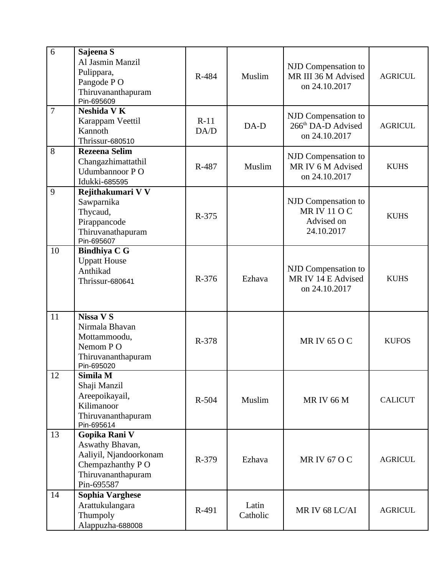| 6              | Sajeena S<br>Al Jasmin Manzil<br>Pulippara,<br>Pangode PO<br>Thiruvananthapuram<br>Pin-695609                      | R-484          | Muslim            | NJD Compensation to<br>MR III 36 M Advised<br>on 24.10.2017            | <b>AGRICUL</b> |
|----------------|--------------------------------------------------------------------------------------------------------------------|----------------|-------------------|------------------------------------------------------------------------|----------------|
| $\overline{7}$ | Neshida V K<br>Karappam Veettil<br>Kannoth<br>Thrissur-680510                                                      | $R-11$<br>DA/D | $DA-D$            | NJD Compensation to<br>266 <sup>th</sup> DA-D Advised<br>on 24.10.2017 | <b>AGRICUL</b> |
| 8              | <b>Rezeena Selim</b><br>Changazhimattathil<br>Udumbannoor PO<br>Idukki-685595                                      | R-487          | Muslim            | NJD Compensation to<br>MR IV 6 M Advised<br>on 24.10.2017              | <b>KUHS</b>    |
| 9              | Rejithakumari V V<br>Sawparnika<br>Thycaud,<br>Pirappancode<br>Thiruvanathapuram<br>Pin-695607                     | R-375          |                   | NJD Compensation to<br><b>MRIV110C</b><br>Advised on<br>24.10.2017     | <b>KUHS</b>    |
| 10             | <b>Bindhiya C G</b><br><b>Uppatt House</b><br>Anthikad<br>Thrissur-680641                                          | R-376          | Ezhava            | NJD Compensation to<br>MR IV 14 E Advised<br>on 24.10.2017             | <b>KUHS</b>    |
| 11             | <b>Nissa V S</b><br>Nirmala Bhavan<br>Mottammoodu,<br>Nemom PO<br>Thiruvananthapuram<br>Pin-695020                 | R-378          |                   | <b>MRIV 65 O C</b>                                                     | <b>KUFOS</b>   |
| 12             | Simila M<br>Shaji Manzil<br>Areepoikayail,<br>Kilimanoor<br>Thiruvananthapuram<br>Pin-695614                       | R-504          | Muslim            | <b>MRIV 66 M</b>                                                       | <b>CALICUT</b> |
| 13             | Gopika Rani V<br>Aswathy Bhavan,<br>Aaliyil, Njandoorkonam<br>Chempazhanthy PO<br>Thiruvananthapuram<br>Pin-695587 | R-379          | Ezhava            | <b>MR IV 67 O C</b>                                                    | <b>AGRICUL</b> |
| 14             | <b>Sophia Varghese</b><br>Arattukulangara<br>Thumpoly<br>Alappuzha-688008                                          | R-491          | Latin<br>Catholic | MR IV 68 LC/AI                                                         | <b>AGRICUL</b> |